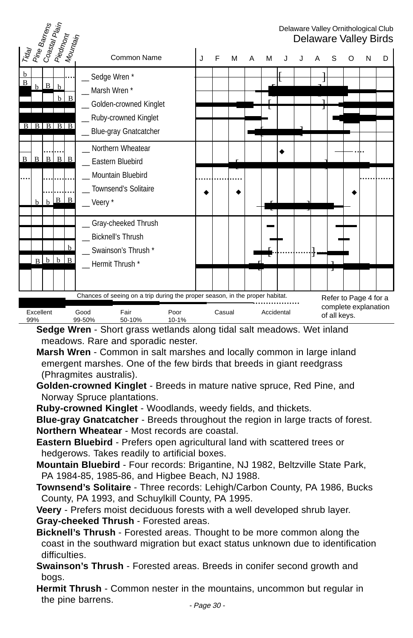| Trday<br>  Pine Barrens     |                  |                 | Co <sub>astal</sub><br>Pla <sub>in</sub>          |     |                                                                                                                                   |   |   |        |   |            |  |                                                               |   | Delaware Valley Ornithological Club<br>Delaware Valley Birds |
|-----------------------------|------------------|-----------------|---------------------------------------------------|-----|-----------------------------------------------------------------------------------------------------------------------------------|---|---|--------|---|------------|--|---------------------------------------------------------------|---|--------------------------------------------------------------|
|                             |                  |                 | Piedmont<br>  Mountain                            |     | Common Name                                                                                                                       | J | F | M      | А | м          |  | S                                                             | N | D                                                            |
| $\mathbf b$<br>$\, {\bf B}$ | $\mathbf b$      | B               | $\mathbf b$<br>$\mathbf b$<br>$B$ $B$ $B$ $B$ $B$ | B   | __ Sedge Wren *<br>Marsh Wren *<br>Golden-crowned Kinglet<br>_ Ruby-crowned Kinglet<br>_ Blue-gray Gnatcatcher                    |   |   |        |   |            |  |                                                               |   |                                                              |
| B                           | $\mathbf B$      | $\, {\bf B} \,$ | $\mathbf{B}$                                      | B   | Northern Wheatear<br>Eastern Bluebird<br>Mountain Bluebird                                                                        |   |   |        |   |            |  |                                                               |   |                                                              |
|                             | h                | $\mathbf{h}$    | B                                                 | B   | <b>Townsend's Solitaire</b><br>Veery *                                                                                            |   |   |        |   |            |  |                                                               |   |                                                              |
|                             |                  | $B$ $b$         | $\mathbf b$                                       | l B | Gray-cheeked Thrush<br><b>Bicknell's Thrush</b><br>Swainson's Thrush *<br>_Hermit Thrush*                                         |   |   |        |   |            |  |                                                               |   |                                                              |
|                             |                  |                 |                                                   |     |                                                                                                                                   |   |   |        |   |            |  |                                                               |   |                                                              |
|                             | Excellent<br>99% |                 |                                                   |     | Chances of seeing on a trip during the proper season, in the proper habitat.<br>Fair<br>Good<br>Poor<br>99-50%<br>10-1%<br>50-10% |   |   | Casual |   | Accidental |  | Refer to Page 4 for a<br>complete explanation<br>of all keys. |   |                                                              |

**Sedge Wren** - Short grass wetlands along tidal salt meadows. Wet inland meadows. Rare and sporadic nester.

**Marsh Wren** - Common in salt marshes and locally common in large inland emergent marshes. One of the few birds that breeds in giant reedgrass (Phragmites australis).

- **Golden-crowned Kinglet** Breeds in mature native spruce, Red Pine, and Norway Spruce plantations.
- **Ruby-crowned Kinglet** Woodlands, weedy fields, and thickets.

**Blue-gray Gnatcatcher** - Breeds throughout the region in large tracts of forest. **Northern Wheatear** - Most records are coastal.

- **Eastern Bluebird** Prefers open agricultural land with scattered trees or hedgerows. Takes readily to artificial boxes.
- **Mountain Bluebird** Four records: Brigantine, NJ 1982, Beltzville State Park, PA 1984-85, 1985-86, and Higbee Beach, NJ 1988.
- **Townsend's Solitaire** Three records: Lehigh/Carbon County, PA 1986, Bucks County, PA 1993, and Schuylkill County, PA 1995.

**Veery** - Prefers moist deciduous forests with a well developed shrub layer. **Gray-cheeked Thrush** - Forested areas.

**Bicknell's Thrush** - Forested areas. Thought to be more common along the coast in the southward migration but exact status unknown due to identification difficulties.

**Swainson's Thrush** - Forested areas. Breeds in conifer second growth and bogs.

**Hermit Thrush** - Common nester in the mountains, uncommon but regular in the pine barrens.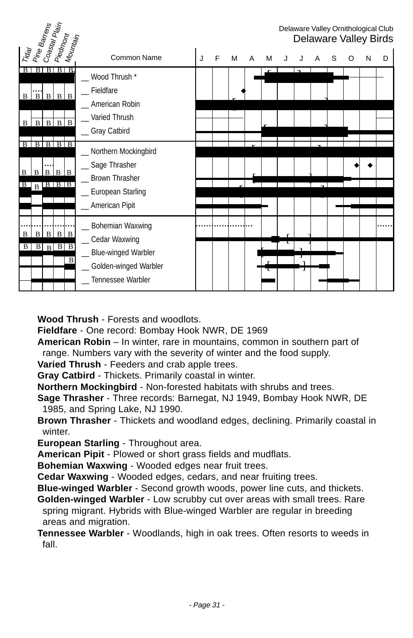| Pine Barrens<br>Co <sub>astal</sub> Pl <sub>ain</sub>                                            |                                                                                                       |   |   |   |   |   |  |   |   |   |   | Delaware Valley Ornithological Club<br>Delaware Valley Birds |
|--------------------------------------------------------------------------------------------------|-------------------------------------------------------------------------------------------------------|---|---|---|---|---|--|---|---|---|---|--------------------------------------------------------------|
| Piedmont<br>Mounta <sub>in</sub><br>Trag                                                         | Common Name                                                                                           | J | F | м | A | M |  | А | S | O | N | D                                                            |
| B<br>B.<br>B<br>$B \mid B \mid B \mid B$<br>$\mathbf{B}$<br>$\mathbf{B}$<br>$B \mid B$<br>B<br>B | _ Wood Thrush *<br>Fieldfare<br>_ American Robin<br>Varied Thrush<br>_Gray Catbird                    |   |   |   |   |   |  |   |   |   |   |                                                              |
| B<br>B<br>ВI<br>$B \mid B$<br>$B \mid B \mid B$<br>B<br>R<br>$B$ $B$ $B$ $B$<br>B                | Northern Mockingbird<br>_Sage Thrasher<br>_ Brown Thrasher<br>_ European Starling<br>_ American Pipit |   |   |   |   |   |  |   |   |   |   |                                                              |
| B<br>B<br>B<br>B<br>B<br>$B \mid B$<br>B<br>$\vert$ B<br>$\overline{B}$<br>$\overline{B}$        | _ Bohemian Waxwing<br>_ Cedar Waxwing<br><b>Blue-winged Warbler</b>                                   |   |   |   |   |   |  |   |   |   |   |                                                              |
|                                                                                                  | Golden-winged Warbler<br>Tennessee Warbler                                                            |   |   |   |   |   |  |   |   |   |   |                                                              |

**Wood Thrush** - Forests and woodlots.

**Fieldfare** - One record: Bombay Hook NWR, DE 1969

- **American Robin** In winter, rare in mountains, common in southern part of range. Numbers vary with the severity of winter and the food supply.
- **Varied Thrush** Feeders and crab apple trees.
- **Gray Catbird** Thickets. Primarily coastal in winter.
- **Northern Mockingbird** Non-forested habitats with shrubs and trees.
- **Sage Thrasher** Three records: Barnegat, NJ 1949, Bombay Hook NWR, DE 1985, and Spring Lake, NJ 1990.
- **Brown Thrasher** Thickets and woodland edges, declining. Primarily coastal in winter.

**European Starling** - Throughout area.

**American Pipit** - Plowed or short grass fields and mudflats.

**Bohemian Waxwing** - Wooded edges near fruit trees.

**Cedar Waxwing** - Wooded edges, cedars, and near fruiting trees.

**Blue-winged Warbler** - Second growth woods, power line cuts, and thickets.

**Golden-winged Warbler** - Low scrubby cut over areas with small trees. Rare spring migrant. Hybrids with Blue-winged Warbler are regular in breeding areas and migration.

**Tennessee Warbler** - Woodlands, high in oak trees. Often resorts to weeds in fall.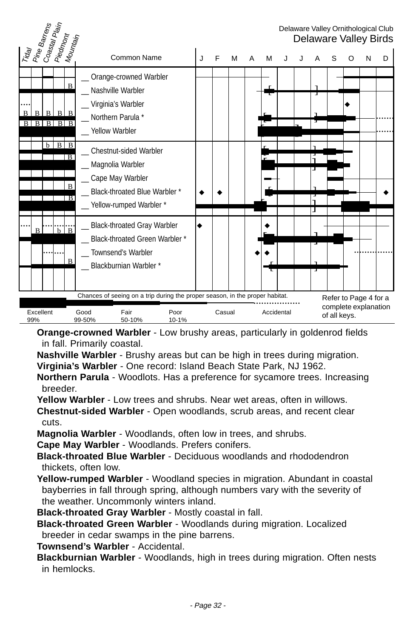| Tuay<br>Pine Barrens<br>Coastay Plain<br>Piedmont<br>Mountain |                                                                                                                                   |   |        |   |   |   |            |   |              |   |                                               | Delaware Valley Ornithological Club<br>Delaware Valley Birds |
|---------------------------------------------------------------|-----------------------------------------------------------------------------------------------------------------------------------|---|--------|---|---|---|------------|---|--------------|---|-----------------------------------------------|--------------------------------------------------------------|
|                                                               | Common Name                                                                                                                       | J | F      | M | A | M |            |   |              | O | N                                             | D                                                            |
| $\mathbf{B}$<br>$B \mid B$<br>B<br>B<br>R<br>B<br>B           | Orange-crowned Warbler<br>Nashville Warbler<br>_ Virginia's Warbler<br>_ Northern Parula *<br>Yellow Warbler                      |   |        |   |   |   |            | T |              |   |                                               |                                                              |
| $B$ $B$<br>h<br>$_{\rm B}$<br>$\overline{B}$<br>ΤВ            | Chestnut-sided Warbler<br>_ Magnolia Warbler<br>_ Cape May Warbler<br>Black-throated Blue Warbler *<br>_ Yellow-rumped Warbler *  |   |        |   |   |   |            |   |              |   |                                               |                                                              |
| $\frac{1}{b}$ $\frac{1}{B}$<br>B<br>$\bf{B}$                  | _ Black-throated Gray Warbler<br><b>Black-throated Green Warbler *</b><br>Townsend's Warbler<br>_ Blackburnian Warbler*           |   |        |   |   |   |            |   |              |   |                                               |                                                              |
| Excellent<br>99%                                              | Chances of seeing on a trip during the proper season, in the proper habitat.<br>Good<br>Fair<br>Poor<br>99-50%<br>50-10%<br>10-1% |   | Casual |   |   |   | Accidental |   | of all keys. |   | Refer to Page 4 for a<br>complete explanation |                                                              |

**Orange-crowned Warbler** - Low brushy areas, particularly in goldenrod fields in fall. Primarily coastal.

**Nashville Warbler** - Brushy areas but can be high in trees during migration.

**Virginia's Warbler** - One record: Island Beach State Park, NJ 1962.

**Northern Parula** - Woodlots. Has a preference for sycamore trees. Increasing breeder.

**Yellow Warbler** - Low trees and shrubs. Near wet areas, often in willows.

**Chestnut-sided Warbler** - Open woodlands, scrub areas, and recent clear cuts.

**Magnolia Warbler** - Woodlands, often low in trees, and shrubs.

**Cape May Warbler** - Woodlands. Prefers conifers.

**Black-throated Blue Warbler** - Deciduous woodlands and rhododendron thickets, often low.

**Yellow-rumped Warbler** - Woodland species in migration. Abundant in coastal bayberries in fall through spring, although numbers vary with the severity of the weather. Uncommonly winters inland.

**Black-throated Gray Warbler** - Mostly coastal in fall.

**Black-throated Green Warbler** - Woodlands during migration. Localized breeder in cedar swamps in the pine barrens.

**Townsend's Warbler** - Accidental.

**Blackburnian Warbler** - Woodlands, high in trees during migration. Often nests in hemlocks.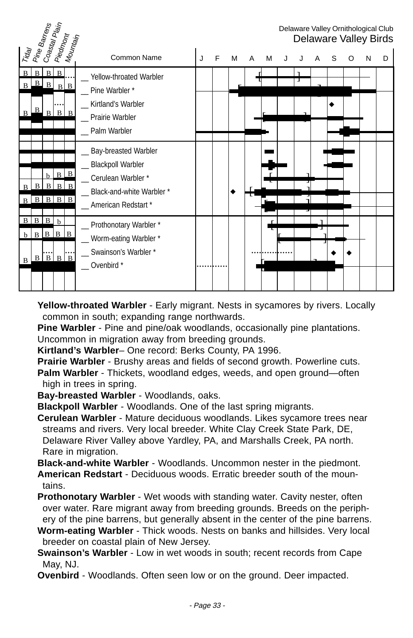

**Yellow-throated Warbler** - Early migrant. Nests in sycamores by rivers. Locally common in south; expanding range northwards.

**Pine Warbler** - Pine and pine/oak woodlands, occasionally pine plantations. Uncommon in migration away from breeding grounds.

**Kirtland's Warbler**– One record: Berks County, PA 1996.

**Prairie Warbler** - Brushy areas and fields of second growth. Powerline cuts. **Palm Warbler** - Thickets, woodland edges, weeds, and open ground—often high in trees in spring.

**Bay-breasted Warbler** - Woodlands, oaks.

**Blackpoll Warbler** - Woodlands. One of the last spring migrants.

**Cerulean Warbler** - Mature deciduous woodlands. Likes sycamore trees near streams and rivers. Very local breeder. White Clay Creek State Park, DE, Delaware River Valley above Yardley, PA, and Marshalls Creek, PA north. Rare in migration.

**Black-and-white Warbler** - Woodlands. Uncommon nester in the piedmont.

**American Redstart** - Deciduous woods. Erratic breeder south of the mountains.

**Prothonotary Warbler** - Wet woods with standing water. Cavity nester, often over water. Rare migrant away from breeding grounds. Breeds on the periphery of the pine barrens, but generally absent in the center of the pine barrens.

**Worm-eating Warbler** - Thick woods. Nests on banks and hillsides. Very local breeder on coastal plain of New Jersey.

**Swainson's Warbler** - Low in wet woods in south; recent records from Cape May, NJ.

**Ovenbird** - Woodlands. Often seen low or on the ground. Deer impacted.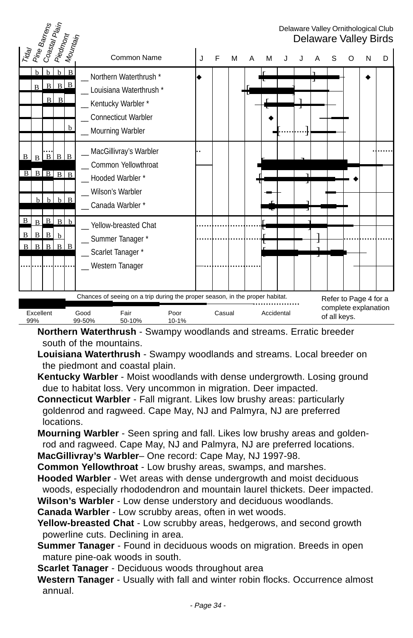

**Northern Waterthrush** - Swampy woodlands and streams. Erratic breeder south of the mountains.

- **Louisiana Waterthrush** Swampy woodlands and streams. Local breeder on the piedmont and coastal plain.
- **Kentucky Warbler** Moist woodlands with dense undergrowth. Losing ground due to habitat loss. Very uncommon in migration. Deer impacted.
- **Connecticut Warbler** Fall migrant. Likes low brushy areas: particularly goldenrod and ragweed. Cape May, NJ and Palmyra, NJ are preferred locations.
- **Mourning Warbler** Seen spring and fall. Likes low brushy areas and goldenrod and ragweed. Cape May, NJ and Palmyra, NJ are preferred locations.

**MacGillivray's Warbler**– One record: Cape May, NJ 1997-98.

- **Common Yellowthroat** Low brushy areas, swamps, and marshes.
- **Hooded Warbler** Wet areas with dense undergrowth and moist deciduous woods, especially rhododendron and mountain laurel thickets. Deer impacted. **Wilson's Warbler** - Low dense understory and deciduous woodlands.

**Canada Warbler** - Low scrubby areas, often in wet woods.

- **Yellow-breasted Chat** Low scrubby areas, hedgerows, and second growth powerline cuts. Declining in area.
- **Summer Tanager** Found in deciduous woods on migration. Breeds in open mature pine-oak woods in south.
- **Scarlet Tanager** Deciduous woods throughout area
- **Western Tanager** Usually with fall and winter robin flocks. Occurrence almost annual.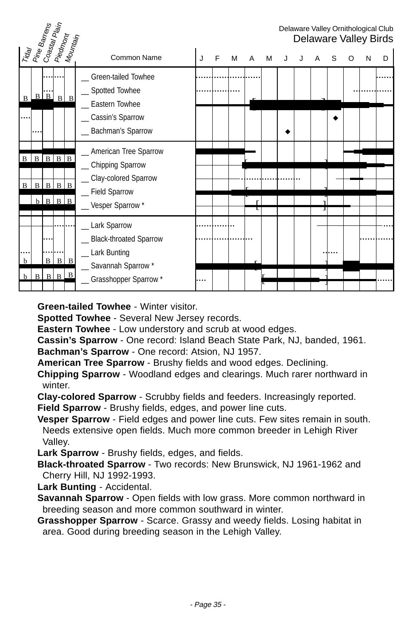| Traal<br>Pine Barrens<br>Coastal Piain<br>- Riedmont<br>- Mountain |   |                                             |                   |   |                                                                                                                 |   |   |   |   |   |  |   |   |   |   | Delaware Valley Ornithological Club<br>Delaware Valley Birds |
|--------------------------------------------------------------------|---|---------------------------------------------|-------------------|---|-----------------------------------------------------------------------------------------------------------------|---|---|---|---|---|--|---|---|---|---|--------------------------------------------------------------|
|                                                                    |   |                                             |                   |   | Common Name                                                                                                     | J | F | м | A | м |  | Α | S | O | N | D                                                            |
| $\mathbf{B}$                                                       |   | $B \mid B$                                  | $B \mid B$        |   | Green-tailed Towhee<br>_ Spotted Towhee<br>Eastern Towhee<br>Cassin's Sparrow<br>Bachman's Sparrow              |   |   |   |   |   |  |   |   |   |   |                                                              |
| $\mathbf B$<br> B                                                  | B | $B \mid B \mid B \mid B$<br>$b$ $B$ $B$ $B$ | $B \mid B \mid B$ |   | _ American Tree Sparrow<br>_ Chipping Sparrow<br>_Clay-colored Sparrow<br>_ Field Sparrow<br>_ Vesper Sparrow*  |   |   |   |   |   |  |   |   |   |   |                                                              |
| b                                                                  |   | B<br>$\overline{B}$                         | B<br>$B$ $B$      | B | Lark Sparrow<br><b>Black-throated Sparrow</b><br>_ Lark Bunting<br>_ Savannah Sparrow *<br>Grasshopper Sparrow* |   |   |   |   |   |  |   |   |   |   |                                                              |

**Green-tailed Towhee** - Winter visitor.

**Spotted Towhee** - Several New Jersey records.

**Eastern Towhee** - Low understory and scrub at wood edges.

**Cassin's Sparrow** - One record: Island Beach State Park, NJ, banded, 1961. **Bachman's Sparrow** - One record: Atsion, NJ 1957.

**American Tree Sparrow** - Brushy fields and wood edges. Declining.

**Chipping Sparrow** - Woodland edges and clearings. Much rarer northward in winter.

**Clay-colored Sparrow** - Scrubby fields and feeders. Increasingly reported. **Field Sparrow** - Brushy fields, edges, and power line cuts.

**Vesper Sparrow** - Field edges and power line cuts. Few sites remain in south. Needs extensive open fields. Much more common breeder in Lehigh River Valley.

**Lark Sparrow** - Brushy fields, edges, and fields.

**Black-throated Sparrow** - Two records: New Brunswick, NJ 1961-1962 and Cherry Hill, NJ 1992-1993.

**Lark Bunting** - Accidental.

**Savannah Sparrow** - Open fields with low grass. More common northward in breeding season and more common southward in winter.

**Grasshopper Sparrow** - Scarce. Grassy and weedy fields. Losing habitat in area. Good during breeding season in the Lehigh Valley.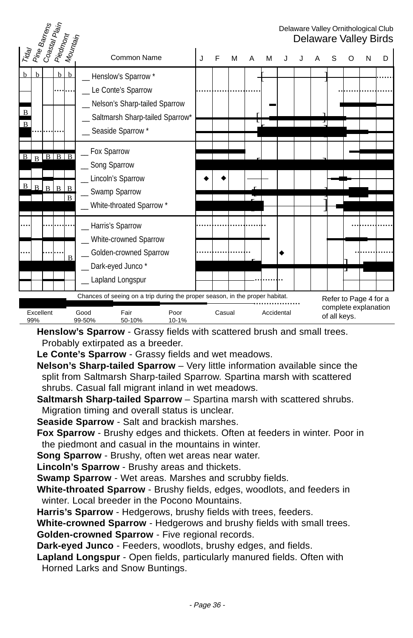|                                                    | Pine Barrens<br>  Coastal Plain |                                   |                     |                                                                                                                                         |   |        |   |   |            |  |              |   |                                               | Delaware Valley Ornithological Club<br><b>Delaware Valley Birds</b> |
|----------------------------------------------------|---------------------------------|-----------------------------------|---------------------|-----------------------------------------------------------------------------------------------------------------------------------------|---|--------|---|---|------------|--|--------------|---|-----------------------------------------------|---------------------------------------------------------------------|
| Trag                                               |                                 | Piedmont<br>  Mountain            |                     | Common Name                                                                                                                             | J | E      | M | A | М          |  |              | O | N                                             | D                                                                   |
| $\mathbf{h}$<br>h<br>$\mathbf{B}$<br>$\mathbf{B}$  |                                 | b                                 | $\mathbf b$         | Henslow's Sparrow *<br>Le Conte's Sparrow<br>_ Nelson's Sharp-tailed Sparrow<br>_ Saltmarsh Sharp-tailed Sparrow*<br>_ Seaside Sparrow* |   |        |   |   |            |  |              |   |                                               |                                                                     |
| $\overline{B}$<br>$\overline{B}$<br>$\vert$ B<br>B | $\mathbf{B}$                    | $B \mid B \mid B$<br>$\mathbf{R}$ | B<br>$\overline{B}$ | _ Fox Sparrow<br>_ Song Sparrow<br>Lincoln's Sparrow<br>_ Swamp Sparrow<br>_ White-throated Sparrow *                                   |   |        |   |   |            |  |              |   |                                               |                                                                     |
|                                                    |                                 |                                   | B                   | _ Harris's Sparrow<br>White-crowned Sparrow<br>Golden-crowned Sparrow<br>_ Dark-eyed Junco*<br>Lapland Longspur                         |   |        |   |   |            |  |              |   |                                               |                                                                     |
| Excellent<br>99%                                   |                                 |                                   |                     | Chances of seeing on a trip during the proper season, in the proper habitat.<br>Good<br>Fair<br>Poor<br>99-50%<br>50-10%<br>10-1%       |   | Casual |   |   | Accidental |  | of all keys. |   | Refer to Page 4 for a<br>complete explanation |                                                                     |

**Henslow's Sparrow** - Grassy fields with scattered brush and small trees. Probably extirpated as a breeder.

**Le Conte's Sparrow** - Grassy fields and wet meadows.

**Nelson's Sharp-tailed Sparrow** – Very little information available since the split from Saltmarsh Sharp-tailed Sparrow. Spartina marsh with scattered shrubs. Casual fall migrant inland in wet meadows.

**Saltmarsh Sharp-tailed Sparrow** – Spartina marsh with scattered shrubs. Migration timing and overall status is unclear.

**Seaside Sparrow** - Salt and brackish marshes.

**Fox Sparrow** - Brushy edges and thickets. Often at feeders in winter. Poor in the piedmont and casual in the mountains in winter.

**Song Sparrow** - Brushy, often wet areas near water.

**Lincoln's Sparrow** - Brushy areas and thickets.

**Swamp Sparrow** - Wet areas. Marshes and scrubby fields.

**White-throated Sparrow** - Brushy fields, edges, woodlots, and feeders in winter. Local breeder in the Pocono Mountains.

**Harris's Sparrow** - Hedgerows, brushy fields with trees, feeders.

**White-crowned Sparrow** - Hedgerows and brushy fields with small trees.

**Golden-crowned Sparrow** - Five regional records.

**Dark-eyed Junco** - Feeders, woodlots, brushy edges, and fields.

**Lapland Longspur** - Open fields, particularly manured fields. Often with Horned Larks and Snow Buntings.

- Page 36 -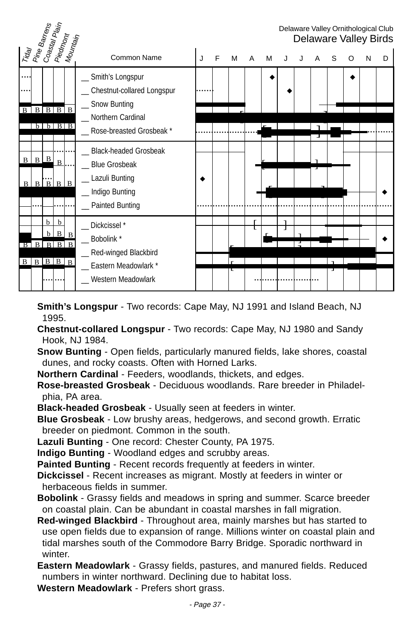

**Smith's Longspur** - Two records: Cape May, NJ 1991 and Island Beach, NJ 1995.

**Chestnut-collared Longspur** - Two records: Cape May, NJ 1980 and Sandy Hook, NJ 1984.

**Snow Bunting** - Open fields, particularly manured fields, lake shores, coastal dunes, and rocky coasts. Often with Horned Larks.

**Northern Cardinal** - Feeders, woodlands, thickets, and edges.

**Rose-breasted Grosbeak** - Deciduous woodlands. Rare breeder in Philadelphia, PA area.

**Black-headed Grosbeak** - Usually seen at feeders in winter.

**Blue Grosbeak** - Low brushy areas, hedgerows, and second growth. Erratic breeder on piedmont. Common in the south.

**Lazuli Bunting** - One record: Chester County, PA 1975.

**Indigo Bunting** - Woodland edges and scrubby areas.

**Painted Bunting** - Recent records frequently at feeders in winter.

**Dickcissel** - Recent increases as migrant. Mostly at feeders in winter or herbaceous fields in summer.

**Bobolink** - Grassy fields and meadows in spring and summer. Scarce breeder on coastal plain. Can be abundant in coastal marshes in fall migration.

**Red-winged Blackbird** - Throughout area, mainly marshes but has started to use open fields due to expansion of range. Millions winter on coastal plain and tidal marshes south of the Commodore Barry Bridge. Sporadic northward in winter.

**Eastern Meadowlark** - Grassy fields, pastures, and manured fields. Reduced numbers in winter northward. Declining due to habitat loss.

**Western Meadowlark** - Prefers short grass.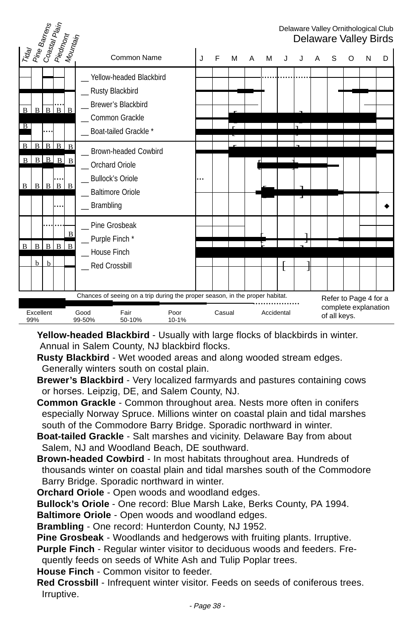| Trdal<br>  Pine Barrens                              |                |              | Coastal Plain<br>  Piedmo <sub>nt</sub> | Mountain       |                                                                                               |   |        |   |   |            |   |   |   |                                                               |   |   | Delaware Valley Ornithological Club<br>Delaware Valley Birds |
|------------------------------------------------------|----------------|--------------|-----------------------------------------|----------------|-----------------------------------------------------------------------------------------------|---|--------|---|---|------------|---|---|---|---------------------------------------------------------------|---|---|--------------------------------------------------------------|
|                                                      |                |              |                                         |                | Common Name                                                                                   | J | F      | M | A | М          | J |   | А | S                                                             | O | N | D                                                            |
|                                                      |                |              |                                         |                | Yellow-headed Blackbird<br>Rusty Blackbird                                                    |   |        |   |   |            |   |   |   |                                                               |   |   |                                                              |
| $\mathbf{B}$                                         | B <sub>1</sub> | $\mathbf{B}$ | B.                                      |                | _Brewer's Blackbird                                                                           |   |        |   |   |            |   |   |   |                                                               |   |   |                                                              |
| ΠB                                                   |                |              |                                         |                | Common Grackle<br>Boat-tailed Grackle *                                                       |   |        |   |   |            |   |   |   |                                                               |   |   |                                                              |
| $\mathbf{B}$                                         | $\overline{B}$ | $\mathbf{B}$ | $B$ $B$                                 |                | _ Brown-headed Cowbird                                                                        |   |        |   |   |            |   |   |   |                                                               |   |   |                                                              |
| $\bf{B}$                                             |                |              | $B$ $B$ $B$ $B$                         |                | _Orchard Oriole                                                                               |   |        |   |   |            |   |   |   |                                                               |   |   |                                                              |
| B                                                    | R              | $\mathbf{B}$ | $\vert$ B                               | B              | _ Bullock's Oriole<br>_ Baltimore Oriole                                                      |   |        |   |   |            |   |   |   |                                                               |   |   |                                                              |
|                                                      |                |              | $\ddotsc$                               |                | $\_$ Brambling                                                                                |   |        |   |   |            |   | J |   |                                                               |   |   |                                                              |
|                                                      |                |              |                                         | $\mathbf B$    | Pine Grosbeak                                                                                 |   |        |   |   |            |   | ٦ |   |                                                               |   |   |                                                              |
| $\mathbf B$                                          | <sub>B</sub>   | B            | $\mathbf{B}$                            | $\overline{B}$ | _ Purple Finch *<br><b>House Finch</b>                                                        |   |        |   |   |            |   | Τ |   |                                                               |   |   |                                                              |
|                                                      | b              | h            |                                         |                | _Red Crossbill                                                                                |   |        |   |   |            |   |   |   |                                                               |   |   |                                                              |
|                                                      |                |              |                                         |                |                                                                                               |   |        |   |   |            |   |   |   |                                                               |   |   |                                                              |
| Excellent<br>Fair<br>Good<br>99%<br>99-50%<br>50-10% |                |              |                                         |                | Chances of seeing on a trip during the proper season, in the proper habitat.<br>Poor<br>10-1% |   | Casual |   |   | Accidental |   |   |   | Refer to Page 4 for a<br>complete explanation<br>of all keys. |   |   |                                                              |

**Yellow-headed Blackbird** - Usually with large flocks of blackbirds in winter. Annual in Salem County, NJ blackbird flocks.

**Rusty Blackbird** - Wet wooded areas and along wooded stream edges. Generally winters south on costal plain.

**Brewer's Blackbird** - Very localized farmyards and pastures containing cows or horses. Leipzig, DE, and Salem County, NJ.

**Common Grackle** - Common throughout area. Nests more often in conifers especially Norway Spruce. Millions winter on coastal plain and tidal marshes south of the Commodore Barry Bridge. Sporadic northward in winter.

**Boat-tailed Grackle** - Salt marshes and vicinity. Delaware Bay from about Salem, NJ and Woodland Beach, DE southward.

**Brown-headed Cowbird** - In most habitats throughout area. Hundreds of thousands winter on coastal plain and tidal marshes south of the Commodore Barry Bridge. Sporadic northward in winter.

**Orchard Oriole** - Open woods and woodland edges.

**Bullock's Oriole** - One record: Blue Marsh Lake, Berks County, PA 1994.

**Baltimore Oriole** - Open woods and woodland edges.

**Brambling** - One record: Hunterdon County, NJ 1952.

**Pine Grosbeak** - Woodlands and hedgerows with fruiting plants. Irruptive.

**Purple Finch** - Regular winter visitor to deciduous woods and feeders. Fre-

quently feeds on seeds of White Ash and Tulip Poplar trees.

**House Finch** - Common visitor to feeder.

**Red Crossbill** - Infrequent winter visitor. Feeds on seeds of coniferous trees. Irruptive.